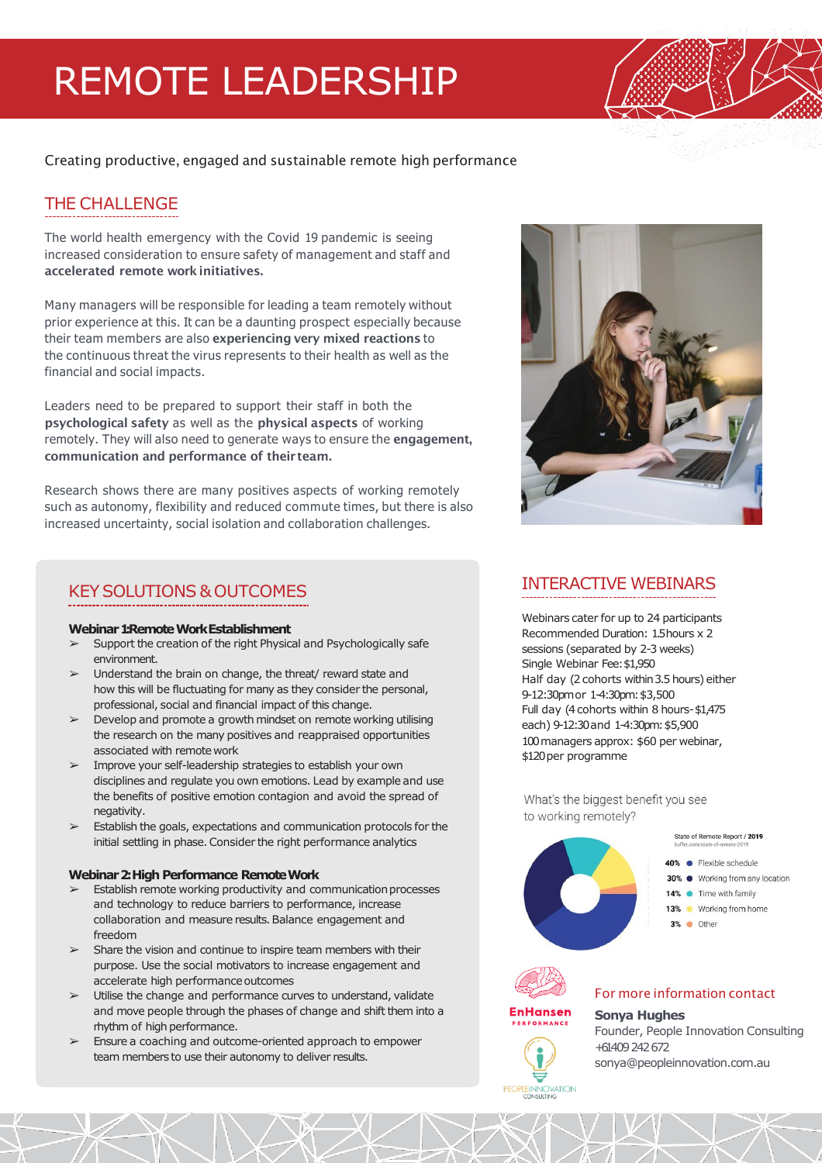# REMOTE LEADERSHIP

Creating productive, engaged and sustainable remote high performance

## THE CHALLENGE

The world health emergency with the Covid 19 pandemic is seeing increased consideration to ensure safety of management and staff and accelerated remote workinitiatives.

Many managers will be responsible for leading a team remotely without prior experience at this. It can be a daunting prospect especially because their team members are also experiencing very mixed reactions to the continuous threat the virus represents to their health as well as the financial and social impacts.

Leaders need to be prepared to support their staff in both the psychological safety as well as the physical aspects of working remotely. They will also need to generate ways to ensure the engagement, communication and performance of theirteam.

Research shows there are many positives aspects of working remotely such as autonomy, flexibility and reduced commute times, but there is also increased uncertainty, social isolation and collaboration challenges.

## KEYSOLUTIONS &OUTCOMES

#### **Webinar 1: Remote Work Establishment**

- Support the creation of the right Physical and Psychologically safe environment.
- ➢ Understand the brain on change, the threat/ reward state and how this will be fluctuating for many as they consider the personal, professional, social and financial impact of this change.
- $\triangleright$  Develop and promote a growth mindset on remote working utilising the research on the many positives and reappraised opportunities associated with remote work
- ➢ Improve your self-leadership strategies to establish your own disciplines and regulate you own emotions. Lead by example and use the benefits of positive emotion contagion and avoid the spread of negativity.
- ➢ Establish the goals, expectations and communication protocols for the initial settling in phase. Consider the right performance analytics

#### **Webinar 2: High Performance RemoteWork**

- $\triangleright$  Establish remote working productivity and communication processes and technology to reduce barriers to performance, increase collaboration and measure results. Balance engagement and freedom
- $\geq$  Share the vision and continue to inspire team members with their purpose. Use the social motivators to increase engagement and accelerate high performance outcomes
- $\triangleright$  Utilise the change and performance curves to understand, validate and move people through the phases of change and shift them into a rhythm of high performance.
- ➢ Ensure a coaching and outcome-oriented approach to empower team members to use their autonomy to deliver results.



## INTERACTIVE WEBINARS

Webinars cater for up to 24 participants Recommended Duration: 1.5 hours x 2 sessions (separated by 2-3 weeks) Single Webinar Fee:\$1,950 Half day (2 cohorts within 3.5 hours) either 9-12:30pm or 1-4:30pm:\$3,500 Full day (4 cohorts within 8 hours-\$1,475 each) 9-12:30 and 1-4:30pm:\$5,900 100 managers approx: \$60 per webinar, \$120 per programme

What's the biggest benefit you see to working remotely?









### **Sonya Hughes**